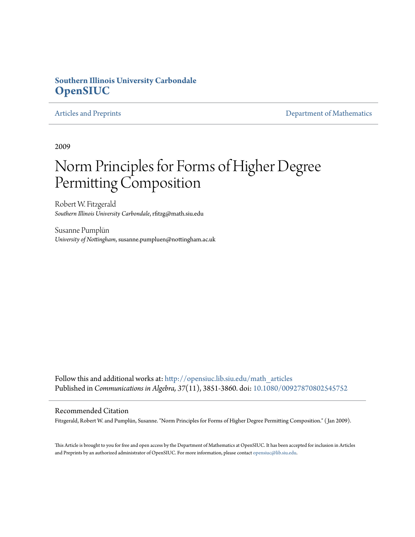# **Southern Illinois University Carbondale [OpenSIUC](http://opensiuc.lib.siu.edu?utm_source=opensiuc.lib.siu.edu%2Fmath_articles%2F1&utm_medium=PDF&utm_campaign=PDFCoverPages)**

[Articles and Preprints](http://opensiuc.lib.siu.edu/math_articles?utm_source=opensiuc.lib.siu.edu%2Fmath_articles%2F1&utm_medium=PDF&utm_campaign=PDFCoverPages) **[Department of Mathematics](http://opensiuc.lib.siu.edu/math?utm_source=opensiuc.lib.siu.edu%2Fmath_articles%2F1&utm_medium=PDF&utm_campaign=PDFCoverPages)** 

2009

# Norm Principles for Forms of Higher Degree Permitting Composition

Robert W. Fitzgerald *Southern Illinois University Carbondale*, rfitzg@math.siu.edu

Susanne Pumplün *University of Nottingham*, susanne.pumpluen@nottingham.ac.uk

Follow this and additional works at: [http://opensiuc.lib.siu.edu/math\\_articles](http://opensiuc.lib.siu.edu/math_articles?utm_source=opensiuc.lib.siu.edu%2Fmath_articles%2F1&utm_medium=PDF&utm_campaign=PDFCoverPages) Published in *Communications in Algebra, 37*(11), 3851-3860. doi: [10.1080/00927870802545752](http://dx.doi.org/10.1080/00927870802545752)

### Recommended Citation

Fitzgerald, Robert W. and Pumplün, Susanne. "Norm Principles for Forms of Higher Degree Permitting Composition." ( Jan 2009).

This Article is brought to you for free and open access by the Department of Mathematics at OpenSIUC. It has been accepted for inclusion in Articles and Preprints by an authorized administrator of OpenSIUC. For more information, please contact [opensiuc@lib.siu.edu](mailto:opensiuc@lib.siu.edu).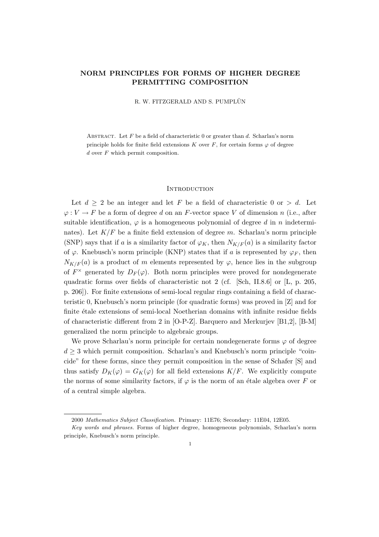## NORM PRINCIPLES FOR FORMS OF HIGHER DEGREE PERMITTING COMPOSITION

R. W. FITZGERALD AND S. PUMPLÜN

ABSTRACT. Let  $F$  be a field of characteristic 0 or greater than  $d$ . Scharlau's norm principle holds for finite field extensions K over F, for certain forms  $\varphi$  of degree d over F which permit composition.

#### **INTRODUCTION**

Let  $d \geq 2$  be an integer and let F be a field of characteristic 0 or  $> d$ . Let  $\varphi: V \to F$  be a form of degree d on an F-vector space V of dimension n (i.e., after suitable identification,  $\varphi$  is a homogeneous polynomial of degree d in n indeterminates). Let  $K/F$  be a finite field extension of degree m. Scharlau's norm principle (SNP) says that if a is a similarity factor of  $\varphi_K$ , then  $N_{K/F}(a)$  is a similarity factor of  $\varphi$ . Knebusch's norm principle (KNP) states that if a is represented by  $\varphi_F$ , then  $N_{K/F}(a)$  is a product of m elements represented by  $\varphi$ , hence lies in the subgroup of  $F^{\times}$  generated by  $D_F(\varphi)$ . Both norm principles were proved for nondegenerate quadratic forms over fields of characteristic not 2 (cf. [Sch, II.8.6] or [L, p. 205, p. 206]). For finite extensions of semi-local regular rings containing a field of characteristic 0, Knebusch's norm principle (for quadratic forms) was proved in [Z] and for finite étale extensions of semi-local Noetherian domains with infinite residue fields of characteristic different from 2 in [O-P-Z]. Barquero and Merkurjev [B1,2], [B-M] generalized the norm principle to algebraic groups.

We prove Scharlau's norm principle for certain nondegenerate forms  $\varphi$  of degree  $d \geq 3$  which permit composition. Scharlau's and Knebusch's norm principle "coincide" for these forms, since they permit composition in the sense of Schafer [S] and thus satisfy  $D_K(\varphi) = G_K(\varphi)$  for all field extensions  $K/F$ . We explicitly compute the norms of some similarity factors, if  $\varphi$  is the norm of an étale algebra over F or of a central simple algebra.

<sup>2000</sup> Mathematics Subject Classification. Primary: 11E76; Secondary: 11E04, 12E05.

Key words and phrases. Forms of higher degree, homogeneous polynomials, Scharlau's norm principle, Knebusch's norm principle.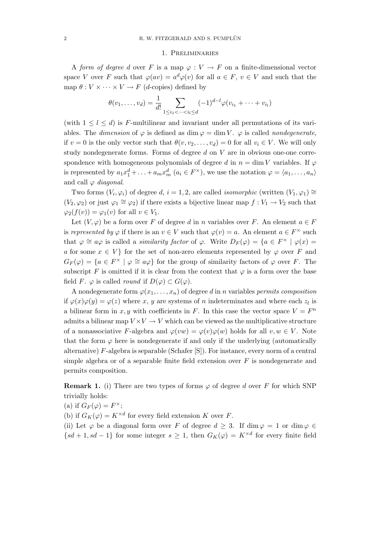#### 1. Preliminaries

A form of degree d over F is a map  $\varphi: V \to F$  on a finite-dimensional vector space V over F such that  $\varphi(av) = a^d\varphi(v)$  for all  $a \in F$ ,  $v \in V$  and such that the map  $\theta: V \times \cdots \times V \rightarrow F$  (*d*-copies) defined by

$$
\theta(v_1, \dots, v_d) = \frac{1}{d!} \sum_{1 \le i_1 < \dots < i_l \le d} (-1)^{d-l} \varphi(v_{i_1} + \dots + v_{i_l})
$$

(with  $1 \leq l \leq d$ ) is F-multilinear and invariant under all permutations of its variables. The dimension of  $\varphi$  is defined as dim  $\varphi = \dim V$ .  $\varphi$  is called nondegenerate, if  $v = 0$  is the only vector such that  $\theta(v, v_2, \dots, v_d) = 0$  for all  $v_i \in V$ . We will only study nondegenerate forms. Forms of degree  $d$  on  $V$  are in obvious one-one correspondence with homogeneous polynomials of degree d in  $n = \dim V$  variables. If  $\varphi$ is represented by  $a_1x_1^d + \ldots + a_mx_m^d$   $(a_i \in F^\times)$ , we use the notation  $\varphi = \langle a_1, \ldots, a_n \rangle$ and call  $\varphi$  diagonal.

Two forms  $(V_i, \varphi_i)$  of degree d,  $i = 1, 2$ , are called *isomorphic* (written  $(V_1, \varphi_1) \cong$  $(V_2, \varphi_2)$  or just  $\varphi_1 \cong \varphi_2$ ) if there exists a bijective linear map  $f : V_1 \to V_2$  such that  $\varphi_2(f(v)) = \varphi_1(v)$  for all  $v \in V_1$ .

Let  $(V, \varphi)$  be a form over F of degree d in n variables over F. An element  $a \in F$ is represented by  $\varphi$  if there is an  $v \in V$  such that  $\varphi(v) = a$ . An element  $a \in F^{\times}$  such that  $\varphi \cong a\varphi$  is called a *similarity factor* of  $\varphi$ . Write  $D_F(\varphi) = \{a \in F^\times \mid \varphi(x) =$ a for some  $x \in V$  for the set of non-zero elements represented by  $\varphi$  over F and  $G_F(\varphi) = \{a \in F^\times \mid \varphi \cong a\varphi\}$  for the group of similarity factors of  $\varphi$  over F. The subscript F is omitted if it is clear from the context that  $\varphi$  is a form over the base field F.  $\varphi$  is called *round* if  $D(\varphi) \subset G(\varphi)$ .

A nondegenerate form  $\varphi(x_1,\ldots,x_n)$  of degree d in n variables permits composition if  $\varphi(x)\varphi(y) = \varphi(z)$  where x, y are systems of n indeterminates and where each z<sub>l</sub> is a bilinear form in x, y with coefficients in F. In this case the vector space  $V = F<sup>n</sup>$ admits a bilinear map  $V \times V \rightarrow V$  which can be viewed as the multiplicative structure of a nonassociative F-algebra and  $\varphi(vw) = \varphi(v)\varphi(w)$  holds for all  $v, w \in V$ . Note that the form  $\varphi$  here is nondegenerate if and only if the underlying (automatically alternative) F-algebra is separable (Schafer [S]). For instance, every norm of a central simple algebra or of a separable finite field extension over  $F$  is nondegenerate and permits composition.

**Remark 1.** (i) There are two types of forms  $\varphi$  of degree d over F for which SNP trivially holds:

(a) if  $G_F(\varphi) = F^{\times};$ 

(b) if  $G_K(\varphi) = K^{\times d}$  for every field extension K over F.

(ii) Let  $\varphi$  be a diagonal form over F of degree  $d \geq 3$ . If  $\dim \varphi = 1$  or  $\dim \varphi \in$  ${sd+1, sd-1}$  for some integer  $s \geq 1$ , then  $G_K(\varphi) = K^{\times d}$  for every finite field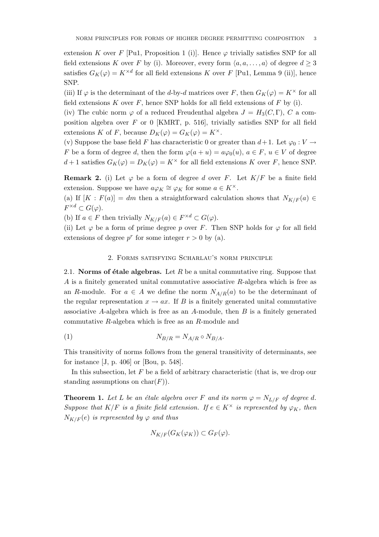extension K over F [Pu1, Proposition 1 (i)]. Hence  $\varphi$  trivially satisfies SNP for all field extensions K over F by (i). Moreover, every form  $\langle a, a, \ldots, a \rangle$  of degree  $d \geq 3$ satisfies  $G_K(\varphi) = K^{\times d}$  for all field extensions K over F [Pu1, Lemma 9 (ii)], hence SNP.

(iii) If  $\varphi$  is the determinant of the d-by-d matrices over F, then  $G_K(\varphi) = K^{\times}$  for all field extensions  $K$  over  $F$ , hence SNP holds for all field extensions of  $F$  by (i).

(iv) The cubic norm  $\varphi$  of a reduced Freudenthal algebra  $J = H_3(C, \Gamma)$ , C a composition algebra over  $F$  or 0 [KMRT, p. 516], trivially satisfies SNP for all field extensions K of F, because  $D_K(\varphi) = G_K(\varphi) = K^{\times}$ .

(v) Suppose the base field F has characteristic 0 or greater than  $d+1$ . Let  $\varphi_0: V \to$ F be a form of degree d, then the form  $\varphi(a + u) = a\varphi_0(u)$ ,  $a \in F$ ,  $u \in V$  of degree  $d+1$  satisfies  $G_K(\varphi) = D_K(\varphi) = K^\times$  for all field extensions K over F, hence SNP.

**Remark 2.** (i) Let  $\varphi$  be a form of degree d over F. Let  $K/F$  be a finite field extension. Suppose we have  $a\varphi_K \cong \varphi_K$  for some  $a \in K^{\times}$ .

(a) If  $[K : F(a)] = dm$  then a straightforward calculation shows that  $N_{K/F}(a) \in$  $F^{\times d} \subset G(\varphi).$ 

(b) If  $a \in F$  then trivially  $N_{K/F}(a) \in F^{\times d} \subset G(\varphi)$ .

(ii) Let  $\varphi$  be a form of prime degree p over F. Then SNP holds for  $\varphi$  for all field extensions of degree  $p^r$  for some integer  $r > 0$  by (a).

#### 2. Forms satisfying Scharlau's norm principle

2.1. Norms of étale algebras. Let R be a unital commutative ring. Suppose that A is a finitely generated unital commutative associative R-algebra which is free as an R-module. For  $a \in A$  we define the norm  $N_{A/R}(a)$  to be the determinant of the regular representation  $x \to ax$ . If B is a finitely generated unital commutative associative A-algebra which is free as an A-module, then  $B$  is a finitely generated commutative R-algebra which is free as an R-module and

$$
N_{B/R} = N_{A/R} \circ N_{B/A}.
$$

This transitivity of norms follows from the general transitivity of determinants, see for instance [J, p. 406] or [Bou, p. 548].

In this subsection, let  $F$  be a field of arbitrary characteristic (that is, we drop our standing assumptions on  $char(F)$ ).

**Theorem 1.** Let L be an étale algebra over F and its norm  $\varphi = N_{L/F}$  of degree d. Suppose that K/F is a finite field extension. If  $e \in K^{\times}$  is represented by  $\varphi_K$ , then  $N_{K/F}(e)$  is represented by  $\varphi$  and thus

$$
N_{K/F}(G_K(\varphi_K)) \subset G_F(\varphi).
$$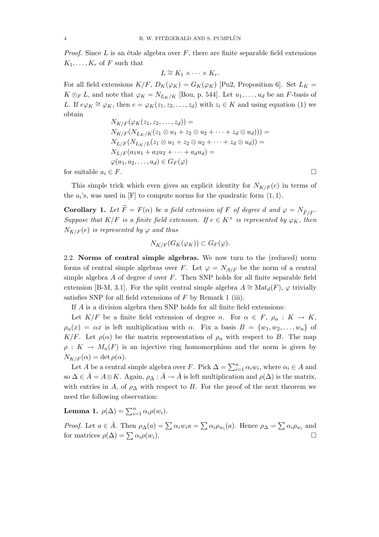*Proof.* Since L is an étale algebra over  $F$ , there are finite separable field extensions  $K_1, \ldots, K_r$  of F such that

$$
L \cong K_1 \times \cdots \times K_r.
$$

For all field extensions  $K/F$ ,  $D_K(\varphi_K) = G_K(\varphi_K)$  [Pu2, Proposition 6]. Set  $L_K =$  $K \otimes_F L$ , and note that  $\varphi_K = N_{L_K/K}$  [Bou, p. 544]. Let  $u_1, \ldots, u_d$  be an F-basis of L. If  $e\varphi_K \cong \varphi_K$ , then  $e = \varphi_K(z_1, z_2, \ldots, z_d)$  with  $z_i \in K$  and using equation (1) we obtain

$$
N_{K/F}(\varphi_K(z_1, z_2, \dots, z_d)) =
$$
  
\n
$$
N_{K/F}(N_{L_K/K}(z_1 \otimes u_1 + z_2 \otimes u_2 + \dots + z_d \otimes u_d))) =
$$
  
\n
$$
N_{L/F}(N_{L_K/L}(z_1 \otimes u_1 + z_2 \otimes u_2 + \dots + z_d \otimes u_d)) =
$$
  
\n
$$
N_{L/F}(a_1u_1 + a_2u_2 + \dots + a_du_d) =
$$
  
\n
$$
\varphi(a_1, a_2, \dots, a_d) \in G_F(\varphi)
$$

for suitable  $a_i \in F$ .

This simple trick which even gives an explicit identity for  $N_{K/F}(e)$  in terms of the  $a_i$ 's, was used in [F] to compute norms for the quadratic form  $\langle 1, 1 \rangle$ .

**Corollary 1.** Let  $\widetilde{F} = F(\alpha)$  be a field extension of F of degree d and  $\varphi = N_{\widetilde{F}/F}$ . Suppose that  $K/F$  is a finite field extension. If  $e \in K^{\times}$  is represented by  $\varphi_K$ , then  $N_{K/F}(e)$  is represented by  $\varphi$  and thus

$$
N_{K/F}(G_K(\varphi_K)) \subset G_F(\varphi).
$$

2.2. Norms of central simple algebras. We now turn to the (reduced) norm forms of central simple algebras over F. Let  $\varphi = N_{A/F}$  be the norm of a central simple algebra  $A$  of degree  $d$  over  $F$ . Then SNP holds for all finite separable field extension [B-M, 3.1]. For the split central simple algebra  $A \cong \text{Mat}_{d}(F)$ ,  $\varphi$  trivially satisfies SNP for all field extensions of  $F$  by Remark 1 (iii).

If A is a division algebra then SNP holds for all finite field extensions:

Let  $K/F$  be a finite field extension of degree n. For  $\alpha \in F$ ,  $\rho_{\alpha}: K \to K$ ,  $\rho_{\alpha}(x) = \alpha x$  is left multiplication with  $\alpha$ . Fix a basis  $B = \{w_1, w_2, \ldots, w_n\}$  of K/F. Let  $\rho(\alpha)$  be the matrix representation of  $\rho_\alpha$  with respect to B. The map  $\rho: K \to M_n(F)$  is an injective ring homomorphism and the norm is given by  $N_{K/F}(\alpha) = \det \rho(\alpha).$ 

Let A be a central simple algebra over F. Pick  $\Delta = \sum_{i=1}^{n} \alpha_i w_i$ , where  $\alpha_i \in A$  and so  $\Delta \in \bar{A} = A \otimes K$ . Again,  $\rho_{\Delta} : \bar{A} \to \bar{A}$  is left multiplication and  $\rho(\Delta)$  is the matrix, with entries in A, of  $\rho_{\Delta}$  with respect to B. For the proof of the next theorem we need the following observation:

Lemma 1.  $\rho(\Delta) = \sum_{i=1}^n \alpha_i \rho(w_i)$ .

*Proof.* Let  $a \in \overline{A}$ . Then  $\rho_{\Delta}(a) = \sum \alpha_i w_i a = \sum \alpha_i \rho_{w_i}(a)$ . Hence  $\rho_{\Delta} = \sum \alpha_i \rho_{w_i}$  and for matrices  $\rho(\Delta) = \sum \alpha_i \rho(w_i)$ .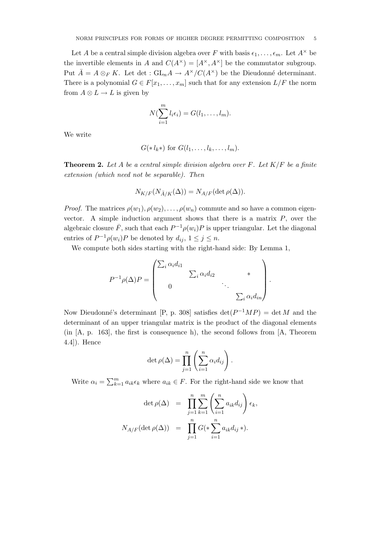Let A be a central simple division algebra over F with basis  $\epsilon_1, \ldots, \epsilon_m$ . Let  $A^{\times}$  be the invertible elements in A and  $C(A^{\times}) = [A^{\times}, A^{\times}]$  be the commutator subgroup. Put  $\bar{A} = A \otimes_F K$ . Let det :  $GL_n A \to A^{\times}/C(A^{\times})$  be the Dieudonné determinant. There is a polynomial  $G \in F[x_1, \ldots, x_m]$  such that for any extension  $L/F$  the norm from  $A \otimes L \to L$  is given by

$$
N(\sum_{i=1}^m l_i \epsilon_i) = G(l_1, \ldots, l_m).
$$

We write

$$
G(*l_k*)
$$
 for  $G(l_1,\ldots,l_k,\ldots,l_m)$ .

**Theorem 2.** Let A be a central simple division algebra over F. Let  $K/F$  be a finite extension (which need not be separable). Then

$$
N_{K/F}(N_{\bar{A}/K}(\Delta)) = N_{A/F}(\det \rho(\Delta)).
$$

*Proof.* The matrices  $\rho(w_1), \rho(w_2), \ldots, \rho(w_n)$  commute and so have a common eigenvector. A simple induction argument shows that there is a matrix  $P$ , over the algebraic closure  $\bar{F}$ , such that each  $P^{-1}\rho(w_i)P$  is upper triangular. Let the diagonal entries of  $P^{-1}\rho(w_i)P$  be denoted by  $d_{ij}$ ,  $1 \leq j \leq n$ .

We compute both sides starting with the right-hand side: By Lemma 1,

$$
P^{-1}\rho(\Delta)P = \begin{pmatrix} \sum_i \alpha_i d_{i1} & & & \\ & \sum_i \alpha_i d_{i2} & & \\ 0 & & \ddots & \\ & & & \sum_i \alpha_i d_{in} \end{pmatrix}.
$$

Now Dieudonné's determinant [P, p. 308] satisfies  $\det(P^{-1}MP) = \det M$  and the determinant of an upper triangular matrix is the product of the diagonal elements (in [A, p. 163], the first is consequence h), the second follows from [A, Theorem 4.4]). Hence

$$
\det \rho(\Delta) = \prod_{j=1}^n \left( \sum_{i=1}^n \alpha_i d_{ij} \right).
$$

Write  $\alpha_i = \sum_{k=1}^m a_{ik} \epsilon_k$  where  $a_{ik} \in F$ . For the right-hand side we know that

$$
\det \rho(\Delta) = \prod_{j=1}^{n} \sum_{k=1}^{m} \left( \sum_{i=1}^{n} a_{ik} d_{ij} \right) \epsilon_k,
$$
  

$$
N_{A/F}(\det \rho(\Delta)) = \prod_{j=1}^{n} G(\ast \sum_{i=1}^{n} a_{ik} d_{ij} \ast).
$$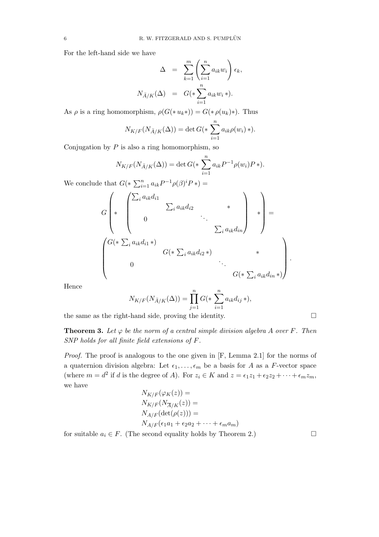For the left-hand side we have

$$
\Delta = \sum_{k=1}^{m} \left( \sum_{i=1}^{n} a_{ik} w_i \right) \epsilon_k,
$$
  

$$
N_{\bar{A}/K}(\Delta) = G(*) \sum_{i=1}^{n} a_{ik} w_i *).
$$

As  $\rho$  is a ring homomorphism,  $\rho(G(*u_k*)) = G(*\rho(u_k)*)$ . Thus

$$
N_{K/F}(N_{\bar{A}/K}(\Delta)) = \det G(* \sum_{i=1}^{n} a_{ik}\rho(w_i) *).
$$

Conjugation by  $P$  is also a ring homomorphism, so

$$
N_{K/F}(N_{\bar{A}/K}(\Delta)) = \det G(\ast \sum_{i=1}^{n} a_{ik} P^{-1} \rho(w_i) P \ast).
$$
  
We conclude that  $G(\ast \sum_{i=1}^{n} a_{ik} P^{-1} \rho(\beta)^i P \ast) =$   

$$
G \left( \ast \begin{pmatrix} \sum_{i} a_{ik} d_{i1} & & & \\ & \sum_{i} a_{ik} d_{i2} & & \\ 0 & & \ddots & \\ & & & \sum_{i} a_{ik} d_{in} \end{pmatrix} \ast \right) =
$$
  

$$
G(\ast \sum_{i} a_{ik} d_{i1} \ast)
$$
  

$$
G(\ast \sum_{i} a_{ik} d_{i2} \ast) \ast
$$
  

$$
G(\ast \sum_{i} a_{ik} d_{in} \ast)
$$

Hence

$$
N_{K/F}(N_{\bar{A}/K}(\Delta)) = \prod_{j=1}^{n} G(\ast \sum_{i=1}^{n} a_{ik} d_{ij} \ast),
$$

the same as the right-hand side, proving the identity.  $\Box$ 

**Theorem 3.** Let  $\varphi$  be the norm of a central simple division algebra A over F. Then SNP holds for all finite field extensions of F.

Proof. The proof is analogous to the one given in [F, Lemma 2.1] for the norms of a quaternion division algebra: Let  $\epsilon_1, \ldots, \epsilon_m$  be a basis for A as a F-vector space (where  $m = d^2$  if d is the degree of A). For  $z_i \in K$  and  $z = \epsilon_1 z_1 + \epsilon_2 z_2 + \cdots + \epsilon_m z_m$ , we have

$$
N_{K/F}(\varphi_K(z)) =
$$
  
\n
$$
N_{K/F}(N_{\overline{A}/K}(z)) =
$$
  
\n
$$
N_{A/F}(\det(\rho(z))) =
$$
  
\n
$$
N_{A/F}(\epsilon_1 a_1 + \epsilon_2 a_2 + \dots + \epsilon_m a_m)
$$

for suitable  $a_i \in F$ . (The second equality holds by Theorem 2.)

.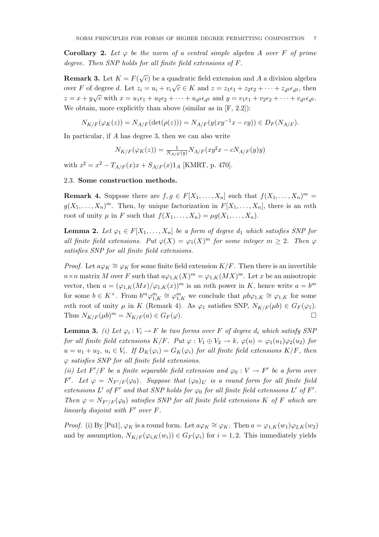**Corollary 2.** Let  $\varphi$  be the norm of a central simple algebra A over F of prime degree. Then SNP holds for all finite field extensions of F.

**Remark 3.** Let  $K = F(\sqrt{c})$  be a quadratic field extension and A a division algebra over F of degree d. Let  $z_i = u_i + v_i \sqrt{c} \in K$  and  $z = z_1 \epsilon_1 + z_2 \epsilon_2 + \cdots + z_d z_d \epsilon_d$ , then  $z = x + y\sqrt{c}$  with  $x = u_1\epsilon_1 + u_2\epsilon_2 + \cdots + u_d\epsilon_d\epsilon_d$  and  $y = v_1\epsilon_1 + v_2\epsilon_2 + \cdots + v_d\epsilon_d$ . We obtain, more explicitly than above (similar as in  $[F, 2.2]$ ):

$$
N_{K/F}(\varphi_K(z)) = N_{A/F}(\det(\rho(z))) = N_{A/F}(y(xy^{-1}x - cy)) \in D_F(N_{A/F}).
$$

In particular, if A has degree 3, then we can also write

$$
N_{K/F}(\varphi_K(z)) = \frac{1}{N_{A/F}(y)} N_{A/F}(xy^{\sharp}x - cN_{A/F}(y)y)
$$

with  $x^{\sharp} = x^2 - T_{A/F}(x)x + S_{A/F}(x)1_A$  [KMRT, p. 470].

### 2.3. Some construction methods.

**Remark 4.** Suppose there are  $f, g \in F[X_1, \ldots, X_n]$  such that  $f(X_1, \ldots, X_n)^m =$  $g(X_1, \ldots, X_n)^m$ . Then, by unique factorization in  $F[X_1, \ldots, X_n]$ , there is an mth root of unity  $\mu$  in F such that  $f(X_1, \ldots, X_n) = \mu g(X_1, \ldots, X_n)$ .

**Lemma 2.** Let  $\varphi_1 \in F[X_1, \ldots, X_n]$  be a form of degree  $d_1$  which satisfies SNP for all finite field extensions. Put  $\varphi(X) = \varphi_1(X)^m$  for some integer  $m \geq 2$ . Then  $\varphi$ satisfies SNP for all finite field extensions.

*Proof.* Let  $a\varphi_K \cong \varphi_K$  for some finite field extension  $K/F$ . Then there is an invertible  $n \times n$  matrix M over F such that  $a\varphi_{1,K}(X)^m = \varphi_{1,K}(MX)^m$ . Let x be an anisotropic vector, then  $a = (\varphi_{1,K}(Mx)/\varphi_{1,K}(x))^m$  is an mth power in K, hence write  $a = b^m$ for some  $b \in K^{\times}$ . From  $b^m \varphi_{1,K}^m \cong \varphi_{1,K}^m$  we conclude that  $\mu b \varphi_{1,K} \cong \varphi_{1,K}$  for some mth root of unity  $\mu$  in K (Remark 4). As  $\varphi_1$  satisfies SNP,  $N_{K/F}(\mu b) \in G_F(\varphi_1)$ . Thus  $N_{K/F}(\mu b)^m = N_{K/F}(a) \in G_F(\varphi).$ 

**Lemma 3.** (i) Let  $\varphi_i : V_i \to F$  be two forms over F of degree  $d_i$  which satisfy SNF for all finite field extensions  $K/F$ . Put  $\varphi: V_1 \oplus V_2 \to k$ ,  $\varphi(u) = \varphi_1(u_1)\varphi_2(u_2)$  for  $u = u_1 + u_2, u_i \in V_i$ . If  $D_K(\varphi_i) = G_K(\varphi_i)$  for all finite field extensions  $K/F$ , then  $\varphi$  satisfies SNP for all finite field extensions.

(ii) Let  $F'/F$  be a finite separable field extension and  $\varphi_0: V \to F'$  be a form over F'. Let  $\varphi = N_{F'/F}(\varphi_0)$ . Suppose that  $(\varphi_0)_{L'}$  is a round form for all finite field extensions L' of F' and that SNP holds for  $\varphi_0$  for all finite field extensions L' of F'. Then  $\varphi = N_{F'/F}(\varphi_0)$  satisfies SNP for all finite field extensions K of F which are linearly disjoint with  $F'$  over  $F$ .

*Proof.* (i) By [Pu1],  $\varphi_K$  is a round form. Let  $a\varphi_K \cong \varphi_K$ . Then  $a = \varphi_{1,K}(w_1)\varphi_{2,K}(w_2)$ and by assumption,  $N_{K/F}(\varphi_{i,K}(w_i)) \in G_F(\varphi_i)$  for  $i = 1, 2$ . This immediately yields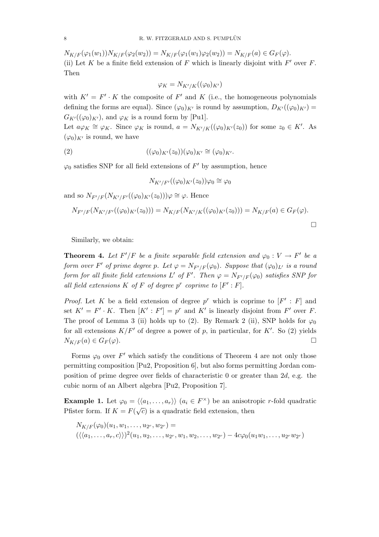$N_{K/F}(\varphi_1(w_1))N_{K/F}(\varphi_2(w_2)) = N_{K/F}(\varphi_1(w_1)\varphi_2(w_2)) = N_{K/F}(a) \in G_F(\varphi).$ (ii) Let K be a finite field extension of F which is linearly disjoint with  $F'$  over F. Then

$$
\varphi_K = N_{K'/K}((\varphi_0)_{K'})
$$

with  $K' = F' \cdot K$  the composite of F' and K (i.e., the homogeneous polynomials defining the forms are equal). Since  $(\varphi_0)_{K'}$  is round by assumption,  $D_{K'}((\varphi_0)_{K'})$  =  $G_{K}(\varphi_0)_{K}$ , and  $\varphi_K$  is a round form by [Pu1].

Let  $a\varphi_K \cong \varphi_K$ . Since  $\varphi_K$  is round,  $a = N_{K'/K}((\varphi_0)_{K'}(z_0))$  for some  $z_0 \in K'$ . As  $(\varphi_0)_{K'}$  is round, we have

(2) 
$$
((\varphi_0)_{K'}(z_0))(\varphi_0)_{K'} \cong (\varphi_0)_{K'}.
$$

 $\varphi_0$  satisfies SNP for all field extensions of  $F'$  by assumption, hence

$$
N_{K'/F'}((\varphi_0)_{K'}(z_0))\varphi_0\cong\varphi_0
$$

and so  $N_{F'/F}(N_{K'/F'}((\varphi_0)_{K'}(z_0)))\varphi \cong \varphi$ . Hence

$$
N_{F'/F}(N_{K'/F'}((\varphi_0)_{K'}(z_0))) = N_{K/F}(N_{K'/K}((\varphi_0)_{K'}(z_0))) = N_{K/F}(a) \in G_F(\varphi).
$$

Similarly, we obtain:

**Theorem 4.** Let  $F'/F$  be a finite separable field extension and  $\varphi_0 : V \to F'$  be a form over F' of prime degree p. Let  $\varphi = N_{F'/F}(\varphi_0)$ . Suppose that  $(\varphi_0)_{L'}$  is a round form for all finite field extensions L' of F'. Then  $\varphi = N_{F'/F}(\varphi_0)$  satisfies SNP for all field extensions  $K$  of  $F$  of degree  $p^r$  coprime to  $[F':F]$ .

*Proof.* Let K be a field extension of degree  $p^r$  which is coprime to  $[F': F]$  and set  $K' = F' \cdot K$ . Then  $[K' : F'] = p^r$  and  $K'$  is linearly disjoint from  $F'$  over F. The proof of Lemma 3 (ii) holds up to (2). By Remark 2 (ii), SNP holds for  $\varphi_0$ for all extensions  $K/F'$  of degree a power of p, in particular, for K'. So (2) yields  $N_{K/F}(a) \in G_F(\varphi).$ 

Forms  $\varphi_0$  over  $F'$  which satisfy the conditions of Theorem 4 are not only those permitting composition [Pu2, Proposition 6], but also forms permitting Jordan composition of prime degree over fields of characteristic 0 or greater than 2d, e.g. the cubic norm of an Albert algebra [Pu2, Proposition 7].

**Example 1.** Let  $\varphi_0 = \langle \langle a_1, \ldots, a_r \rangle \rangle$   $(a_i \in F^\times)$  be an anisotropic r-fold quadratic Pfister form. If  $K = F(\sqrt{c})$  is a quadratic field extension, then

$$
N_{K/F}(\varphi_0)(u_1, w_1, \dots, u_{2r}, w_{2r}) = \n(\langle \langle a_1, \dots, a_r, c \rangle \rangle)^2 (u_1, u_2, \dots, u_{2r}, w_1, w_2, \dots, w_{2r}) - 4c\varphi_0(u_1w_1, \dots, u_{2r}w_{2r})
$$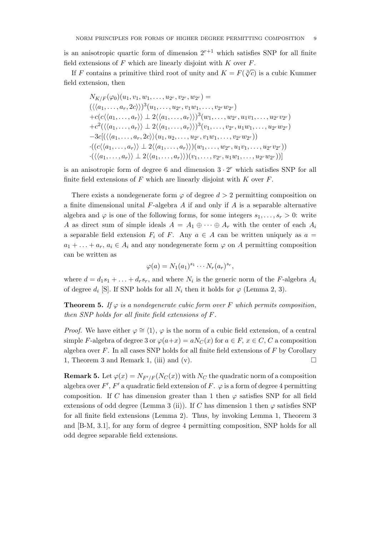is an anisotropic quartic form of dimension  $2^{r+1}$  which satisfies SNP for all finite field extensions of  $F$  which are linearly disjoint with  $K$  over  $F$ .

If F contains a primitive third root of unity and  $K = F(\sqrt[3]{c})$  is a cubic Kummer field extension, then

$$
N_{K/F}(\varphi_0)(u_1, v_1, w_1, \ldots, u_{2r}, v_{2r}, w_{2r}) =
$$
  
\n
$$
(\langle \langle a_1, \ldots, a_r, 2c \rangle \rangle)^3 (u_1, \ldots, u_{2r}, v_1 w_1, \ldots, v_{2r} w_{2r})
$$
  
\n
$$
+ c(c(\langle a_1, \ldots, a_r \rangle) \perp 2(\langle a_1, \ldots, a_r \rangle))^3 (w_1, \ldots, w_{2r}, u_1 v_1, \ldots, u_{2r} v_{2r})
$$
  
\n
$$
+ c^2 (\langle \langle a_1, \ldots, a_r \rangle \rangle \perp 2 \langle \langle a_1, \ldots, a_r \rangle \rangle)^3 (v_1, \ldots, v_{2r}, u_1 w_1, \ldots, u_{2r} w_{2r})
$$
  
\n
$$
-3c[(\langle \langle a_1, \ldots, a_r, 2c \rangle \rangle (u_1, u_2, \ldots, u_{2r}, v_1 w_1, \ldots, v_{2r} w_{2r}))
$$
  
\n
$$
\cdot ((c(\langle a_1, \ldots, a_r \rangle) \perp 2 \langle \langle a_1, \ldots, a_r \rangle \rangle) (v_1, \ldots, v_{2r}, u_1 w_1, \ldots, u_{2r} w_{2r}))
$$
  
\n
$$
\cdot (\langle \langle a_1, \ldots, a_r \rangle \rangle \perp 2 \langle \langle a_1, \ldots, a_r \rangle \rangle) (v_1, \ldots, v_{2r}, u_1 w_1, \ldots, u_{2r} w_{2r}))]
$$

is an anisotropic form of degree 6 and dimension  $3 \cdot 2^r$  which satisfies SNP for all finite field extensions of  $F$  which are linearly disjoint with  $K$  over  $F$ .

There exists a nondegenerate form  $\varphi$  of degree  $d > 2$  permitting composition on a finite dimensional unital  $F$ -algebra  $A$  if and only if  $A$  is a separable alternative algebra and  $\varphi$  is one of the following forms, for some integers  $s_1, \ldots, s_r > 0$ : write A as direct sum of simple ideals  $A = A_1 \oplus \cdots \oplus A_r$  with the center of each  $A_i$ a separable field extension  $F_i$  of F. Any  $a \in A$  can be written uniquely as  $a =$  $a_1 + \ldots + a_r, a_i \in A_i$  and any nondegenerate form  $\varphi$  on A permitting composition can be written as

$$
\varphi(a) = N_1(a_1)^{s_1} \cdots N_r(a_r)^{s_r},
$$

where  $d = d_1s_1 + \ldots + d_r s_r$ , and where  $N_i$  is the generic norm of the F-algebra  $A_i$ of degree  $d_i$  [S]. If SNP holds for all  $N_i$  then it holds for  $\varphi$  (Lemma 2, 3).

**Theorem 5.** If  $\varphi$  is a nondegenerate cubic form over F which permits composition, then SNP holds for all finite field extensions of F.

*Proof.* We have either  $\varphi \cong \langle 1 \rangle$ ,  $\varphi$  is the norm of a cubic field extension, of a central simple F-algebra of degree 3 or  $\varphi(a+x) = aN_C(x)$  for  $a \in F$ ,  $x \in C$ , C a composition algebra over  $F$ . In all cases SNP holds for all finite field extensions of  $F$  by Corollary 1, Theorem 3 and Remark 1, (iii) and (v).  $\Box$ 

**Remark 5.** Let  $\varphi(x) = N_{F'/F}(N_C(x))$  with  $N_C$  the quadratic norm of a composition algebra over  $F'$ ,  $F'$  a quadratic field extension of F.  $\varphi$  is a form of degree 4 permitting composition. If C has dimension greater than 1 then  $\varphi$  satisfies SNP for all field extensions of odd degree (Lemma 3 (ii)). If C has dimension 1 then  $\varphi$  satisfies SNP for all finite field extensions (Lemma 2). Thus, by invoking Lemma 1, Theorem 3 and [B-M, 3.1], for any form of degree 4 permitting composition, SNP holds for all odd degree separable field extensions.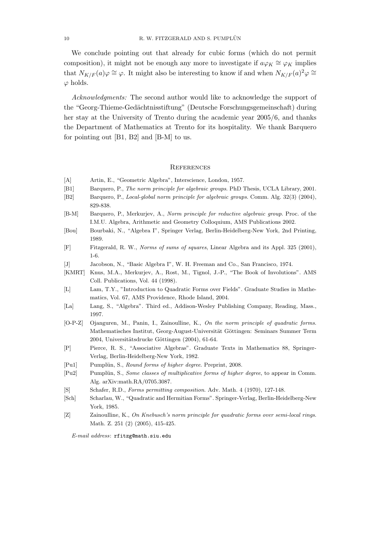We conclude pointing out that already for cubic forms (which do not permit composition), it might not be enough any more to investigate if  $a\varphi_K \cong \varphi_K$  implies that  $N_{K/F}(a)\varphi \cong \varphi$ . It might also be interesting to know if and when  $N_{K/F}(a)^2\varphi \cong$  $\varphi$  holds.

Acknowledgments: The second author would like to acknowledge the support of the "Georg-Thieme-Gedächtnisstiftung" (Deutsche Forschungsgemeinschaft) during her stay at the University of Trento during the academic year 2005/6, and thanks the Department of Mathematics at Trento for its hospitality. We thank Barquero for pointing out [B1, B2] and [B-M] to us.

#### **REFERENCES**

- [A] Artin, E., "Geometric Algebra", Interscience, London, 1957.
- [B1] Barquero, P., The norm principle for algebraic groups. PhD Thesis, UCLA Library, 2001.
- [B2] Barquero, P., Local-global norm principle for algebraic groups. Comm. Alg. 32(3) (2004), 829-838.
- [B-M] Barquero, P., Merkurjev, A., Norm principle for reductive algebraic group. Proc. of the I.M.U. Algebra, Arithmetic and Geometry Colloquium, AMS Publications 2002.
- [Bou] Bourbaki, N., "Algebra I", Springer Verlag, Berlin-Heidelberg-New York, 2nd Printing, 1989.
- [F] Fitzgerald, R. W., Norms of sums of squares, Linear Algebra and its Appl. 325 (2001), 1-6.
- [J] Jacobson, N., "Basic Algebra I", W. H. Freeman and Co., San Francisco, 1974.
- [KMRT] Knus, M.A., Merkurjev, A., Rost, M., Tignol, J.-P., "The Book of Involutions". AMS Coll. Publications, Vol. 44 (1998).
- [L] Lam, T.Y., "Introduction to Quadratic Forms over Fields". Graduate Studies in Mathematics, Vol. 67, AMS Providence, Rhode Island, 2004.
- [La] Lang, S., "Algebra". Third ed., Addison-Wesley Publishing Company, Reading, Mass., 1997.
- [O-P-Z] Ojanguren, M., Panin, I., Zainoulline, K., On the norm principle of quadratic forms. Mathematisches Institut, Georg-August-Universität Göttingen: Seminars Summer Term 2004, Universitätsdrucke Göttingen (2004), 61-64.
- [P] Pierce, R. S., "Associative Algebras". Graduate Texts in Mathematics 88, Springer-Verlag, Berlin-Heidelberg-New York, 1982.
- [Pu1] Pumplün, S., Round forms of higher degree. Preprint, 2008.
- [Pu2] Pumplün, S., Some classes of multiplicative forms of higher degree, to appear in Comm. Alg. arXiv:math.RA/0705.3087.
- [S] Schafer, R.D., Forms permitting composition. Adv. Math. 4 (1970), 127-148.
- [Sch] Scharlau, W., "Quadratic and Hermitian Forms". Springer-Verlag, Berlin-Heidelberg-New York, 1985.
- [Z] Zainoulline, K., On Knebusch's norm principle for quadratic forms over semi-local rings. Math. Z. 251 (2) (2005), 415-425.

E-mail address: rfitzg@math.siu.edu